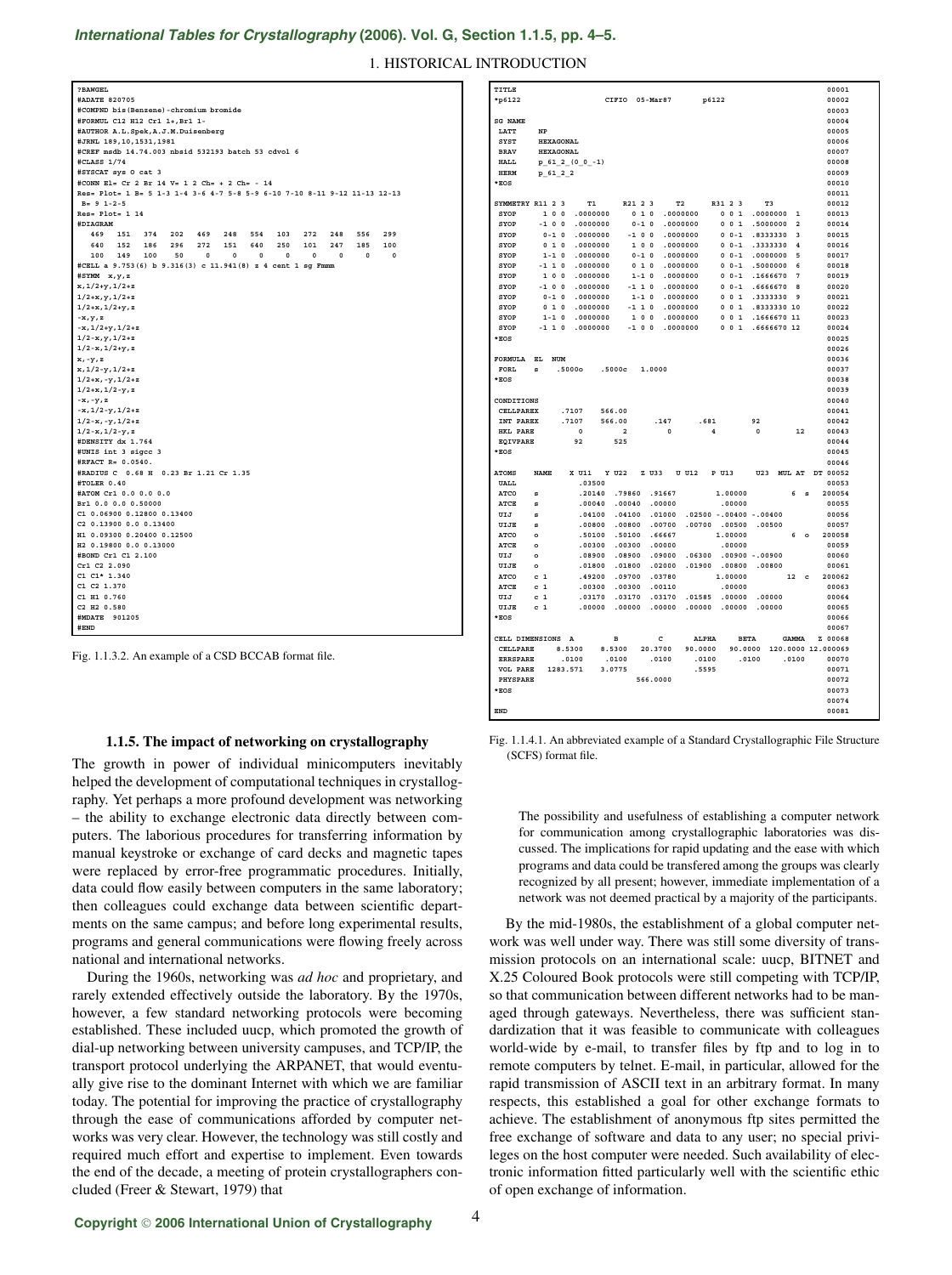## International Tables for Crystallography (2006). Vol. G, Section 1.1.5, pp. 4-5.

1. HISTORICAL INTRODUCTION

| ?BAWGEL                                                                                                       |
|---------------------------------------------------------------------------------------------------------------|
| #ADATE 820705                                                                                                 |
| #COMPND bis (Benzene) - chromium bromide                                                                      |
| #FORMUL C12 H12 Cr1 1+, Br1 1-                                                                                |
| #AUTHOR A.L.Spek, A.J.M.Duisenberg                                                                            |
| #JRNL 189,10,1531,1981                                                                                        |
| #CREF msdb 14.74.003 nbsid 532193 batch 53 cdvol 6                                                            |
| #CLASS 1/74                                                                                                   |
| #SYSCAT sys 0 cat 3                                                                                           |
| #CONN El= Cr 2 Br 14 V= 1 2 Ch= + 2 Ch= - 14                                                                  |
| Res= Plot= 1 B= 5 1-3 1-4 3-6 4-7 5-8 5-9 6-10 7-10 8-11 9-12 11-13 12-13                                     |
| $B = 9 1 - 2 - 5$                                                                                             |
| $Res = Plot = 1 14$                                                                                           |
| #DIAGRAM                                                                                                      |
| 469<br>151<br>374 202 469<br>248<br>554<br>103<br>272<br>248<br>556<br>299                                    |
| 247<br>640<br>152<br>186<br>296 272<br>151<br>640<br>250<br>101<br>185<br>100                                 |
| $\overline{\mathbf{0}}$<br>$\mathbf 0$<br>$^{\circ}$                                                          |
| 100 149<br>50<br>$\mathbf 0$<br>$\overline{\mathbf{0}}$<br>$\mathbf 0$<br>$\overline{\mathbf{0}}$<br>0<br>100 |
| #CELL a 9.753(6) b 9.316(3) c 11.941(8) z 4 cent 1 sg Fmmm                                                    |
| #SYMM x, y, z                                                                                                 |
| $x, 1/2+y, 1/2+z$                                                                                             |
| $1/2+x, y, 1/2+z$                                                                                             |
| $1/2+x$ , $1/2+y$ , z                                                                                         |
| $-x, y, z$                                                                                                    |
| $-x, 1/2+y, 1/2+z$                                                                                            |
| $1/2 - x, y, 1/2 + z$                                                                                         |
| $1/2 - x$ , $1/2 + y$ , z                                                                                     |
| $x, -y, z$                                                                                                    |
| $x, 1/2 - y, 1/2 + z$                                                                                         |
| $1/2+x, -y, 1/2+z$                                                                                            |
| $1/2+x$ , $1/2-y$ , z                                                                                         |
| $-x, -y, z$                                                                                                   |
| $-x, 1/2-y, 1/2+z$                                                                                            |
| $1/2 - x, -y, 1/2 + z$                                                                                        |
| $1/2 - x$ , $1/2 - y$ , z                                                                                     |
| #DENSITY dx 1.764                                                                                             |
| #UNIS int 3 sigcc 3                                                                                           |
| #RFACT R= 0.0540.                                                                                             |
| #RADIUS C 0.68 H 0.23 Br 1.21 Cr 1.35                                                                         |
| #TOLER 0.40                                                                                                   |
| #ATOM Cr1 0.0 0.0 0.0                                                                                         |
| Br1 0.0 0.0 0.50000                                                                                           |
| C1 0.06900 0.12800 0.13400                                                                                    |
| C2 0.13900 0.0 0.13400                                                                                        |
| H1 0.09300 0.20400 0.12500                                                                                    |
| H2 0.19800 0.0 0.13000                                                                                        |
|                                                                                                               |
| #BOND Cr1 C1 2.100                                                                                            |
| Cr1 C2 2.090                                                                                                  |
| C1 C1* 1.340                                                                                                  |
| C1 C2 1.370                                                                                                   |
| C1 H1 0.760                                                                                                   |
| C2 H2 0.580                                                                                                   |
| #MDATE 901205                                                                                                 |
| #END                                                                                                          |
|                                                                                                               |

Fig. 1.1.3.2. An example of a CSD BCCAB format file.

## 1.1.5. The impact of networking on crystallography

The growth in power of individual minicomputers inevitably helped the development of computational techniques in crystallography. Yet perhaps a more profound development was networking - the ability to exchange electronic data directly between computers. The laborious procedures for transferring information by manual keystroke or exchange of card decks and magnetic tapes were replaced by error-free programmatic procedures. Initially, data could flow easily between computers in the same laboratory; then colleagues could exchange data between scientific departments on the same campus; and before long experimental results, programs and general communications were flowing freely across national and international networks.

During the 1960s, networking was *ad hoc* and proprietary, and rarely extended effectively outside the laboratory. By the 1970s, however, a few standard networking protocols were becoming established. These included uucp, which promoted the growth of dial-up networking between university campuses, and TCP/IP, the transport protocol underlying the ARPANET, that would eventually give rise to the dominant Internet with which we are familiar today. The potential for improving the practice of crystallography through the ease of communications afforded by computer networks was very clear. However, the technology was still costly and required much effort and expertise to implement. Even towards the end of the decade, a meeting of protein crystallographers concluded (Freer & Stewart, 1979) that

| TITLE            |                        |                         |                           |                            |                 | 00001                    |
|------------------|------------------------|-------------------------|---------------------------|----------------------------|-----------------|--------------------------|
| $*$ p6122        |                        | CIFIO                   | $05 - \text{Mar87}$       | p6122                      |                 | 00002                    |
|                  |                        |                         |                           |                            |                 | 00003                    |
| <b>SG NAME</b>   |                        |                         |                           |                            |                 | 00004                    |
| <b>LATT</b>      | <b>NP</b>              |                         |                           |                            |                 | 00005                    |
| <b>SYST</b>      | <b>HEXAGONAL</b>       |                         |                           |                            |                 | 00006                    |
| <b>BRAV</b>      | <b>HEXAGONAL</b>       |                         |                           |                            |                 | 00007                    |
| HALL             | $p_{0.61}$ $2(00 - 1)$ |                         |                           |                            |                 | 00008                    |
| <b>HERM</b>      | p 61 2 2               |                         |                           |                            |                 | 00009                    |
| *EOS             |                        |                         |                           |                            |                 | 00010                    |
|                  |                        |                         |                           |                            |                 | 00011                    |
| SYMMETRY R11 2 3 |                        | T1                      | R21 2 3<br>T <sub>2</sub> | R31 2 3                    | T <sub>3</sub>  | 00012                    |
| SYOP             | 100                    | .0000000                | 010<br>.0000000           | $0 \t0 \t1$                | .0000000        | $\mathbf{1}$<br>00013    |
| SYOP             | $-1$ 0 0               | .0000000                | $0 - 1 = 0$<br>.0000000   | $0 \t 0 \t 1$              | .5000000        | $\overline{a}$<br>00014  |
| SYOP             | $0 - 1 = 0$            | .0000000                | $-1 0 0$<br>.0000000      | $0 0 - 1$                  | .8333330        | 3<br>00015               |
|                  |                        |                         |                           |                            |                 |                          |
| SYOP             | 010                    | .0000000                | 1 0 0<br>.0000000         | $0 0 - 1$                  | .3333330        | $\overline{4}$<br>00016  |
| SYOP             | $1 - 1 = 0$            | .0000000                | $0 - 1 = 0$<br>.0000000   | $0 \t 0 - 1$               | .0000000        | 5<br>00017               |
| SYOP             | $-1$ 1 0               | .0000000                | 010<br>.0000000           | $0 0 - 1$                  | .5000000        | 6<br>00018               |
| SYOP             | 100                    | .0000000                | $1 - 1 = 0$<br>.0000000   | $0 0 - 1$                  | .1666670        | 7<br>00019               |
| SYOP             | $-100$                 | .0000000                | $-1$ 1 0<br>.0000000      | $0 \t 0-1$                 | .6666670        | R<br>00020               |
| SYOP             | $0 - 1 = 0$            | .0000000                | $1 - 1 = 0$<br>.0000000   | $0 \t0 \t1$                | .3333330        | ۹<br>00021               |
| SYOP             | 010                    | .0000000                | $-1$ 1 0<br>.0000000      | $0 \t 0 \t 1$              | .8333330 10     | 00022                    |
| SYOP             | $1 - 1 = 0$            | .0000000                | 100<br>.0000000           | $0 \t0 \t1$                | .1666670 11     | 00023                    |
| SYOP             | $-1$ 1 0               | .0000000                | $-1 0 0$<br>.0000000      | $0 \t0 \t1$                | .6666670 12     | 00024                    |
| *EOS             |                        |                         |                           |                            |                 | 00025                    |
|                  |                        |                         |                           |                            |                 | 00026                    |
| <b>FORMULA</b>   | EL.<br><b>NUM</b>      |                         |                           |                            |                 | 00036                    |
| FORL             | .50000<br>$\alpha$     | .5000c                  | 1,0000                    |                            |                 | 00037                    |
| $*FOS$           |                        |                         |                           |                            |                 | 00038                    |
|                  |                        |                         |                           |                            |                 |                          |
|                  |                        |                         |                           |                            |                 | 00039                    |
| CONDITIONS       |                        |                         |                           |                            |                 | 00040                    |
| CELLPAREX        | .7107                  | 566.00                  |                           |                            |                 | 00041                    |
| INT PAREX        | .7107                  | 566.00                  | .147                      | .681                       | 92              | 00042                    |
| HKL PARE         | 0                      | $\overline{\mathbf{2}}$ | $\Omega$                  | 4                          | $\Omega$        | 12<br>00043              |
| <b>EQIVPARE</b>  | 92                     | 525                     |                           |                            |                 | 00044                    |
| $*FOS$           |                        |                         |                           |                            |                 | 00045                    |
|                  |                        |                         |                           |                            |                 | 00046                    |
| <b>ATOMS</b>     | <b>NAME</b><br>X U11   | Y U22                   | Z U33                     | P U13<br><b>U U12</b>      | U23 MUL AT      | DT 00052                 |
| <b>UALL</b>      |                        | .03500                  |                           |                            |                 | 00053                    |
| <b>ATCO</b>      | s                      | .20140<br>.79860        | .91667                    | 1.00000                    |                 | 6<br>s<br>200054         |
| <b>ATCE</b>      | s                      | .00040<br>.00040        | .00000                    | .00000                     |                 | 00055                    |
| UIJ              | s                      | .04100<br>.04100        | .01000                    | $.02500 - .00400 - .00400$ |                 | 00056                    |
| UIJE             | s                      | .00800<br>.00800        | .00700                    | .00700<br>.00500           | .00500          | 00057                    |
| <b>ATCO</b>      | $\circ$                | .50100<br>.50100        | .66667                    | 1.00000                    |                 | 6 <sub>o</sub><br>200058 |
| <b>ATCE</b>      | $\Omega$               | .00300<br>.00300        | .00000                    | .00000                     |                 | 00059                    |
| UIJ              | $\circ$                | .08900<br>.08900        | .09000                    | .06300                     | .00900 - .00900 | 00060                    |
| UIJE             | $\circ$                | .01800<br>.01800        | .02000                    | .01900<br>.00800           | .00800          | 00061                    |
| <b>ATCO</b>      | c <sub>1</sub>         | .49200<br>.09700        | .03780                    | 1.00000                    |                 | 12 c<br>200062           |
|                  |                        |                         |                           |                            |                 |                          |
| <b>ATCE</b>      | c <sub>1</sub>         | .00300<br>.00300        | .00110                    | .00000                     |                 | 00063                    |
| UIJ              | c <sub>1</sub>         | .03170<br>.03170        | .03170                    | .01585<br>.00000           | .00000          | 00064                    |
| UIJE             | c <sub>1</sub>         | .00000<br>.00000        | .00000                    | .00000<br>.00000           | .00000          | 00065                    |
| $*EOS$           |                        |                         |                           |                            |                 | 00066                    |
|                  |                        |                         |                           |                            |                 | 00067                    |
|                  | CELL DIMENSIONS A      | $\, {\bf B}$            | c                         | <b>ALPHA</b>               | <b>BETA</b>     | <b>GAMMA</b><br>Z 00068  |
| CELLPARE         | 8.5300                 | 8.5300                  | 20.3700                   | 90.0000                    | 90.0000         | 120.0000 12.000069       |
| <b>ERRSPARE</b>  | .0100                  | .0100                   | .0100                     | .0100                      | .0100           | .0100<br>00070           |
| VOL PARE         | 1283.571               | 3.0775                  |                           | .5595                      |                 | 00071                    |
| <b>PHYSPARE</b>  |                        |                         |                           |                            |                 |                          |
|                  |                        |                         | 566.0000                  |                            |                 | 00072                    |
| $*ROS$           |                        |                         |                           |                            |                 | 00073                    |
|                  |                        |                         |                           |                            |                 | 00074                    |
| <b>END</b>       |                        |                         |                           |                            |                 | 00081                    |

Fig. 1.1.4.1. An abbreviated example of a Standard Crystallographic File Structure (SCFS) format file.

The possibility and usefulness of establishing a computer network for communication among crystallographic laboratories was discussed. The implications for rapid updating and the ease with which programs and data could be transfered among the groups was clearly recognized by all present; however, immediate implementation of a network was not deemed practical by a majority of the participants.

By the mid-1980s, the establishment of a global computer network was well under way. There was still some diversity of transmission protocols on an international scale: uucp, BITNET and X.25 Coloured Book protocols were still competing with TCP/IP, so that communication between different networks had to be managed through gateways. Nevertheless, there was sufficient standardization that it was feasible to communicate with colleagues world-wide by e-mail, to transfer files by ftp and to log in to remote computers by telnet. E-mail, in particular, allowed for the rapid transmission of ASCII text in an arbitrary format. In many respects, this established a goal for other exchange formats to achieve. The establishment of anonymous ftp sites permitted the free exchange of software and data to any user; no special privileges on the host computer were needed. Such availability of electronic information fitted particularly well with the scientific ethic of open exchange of information.